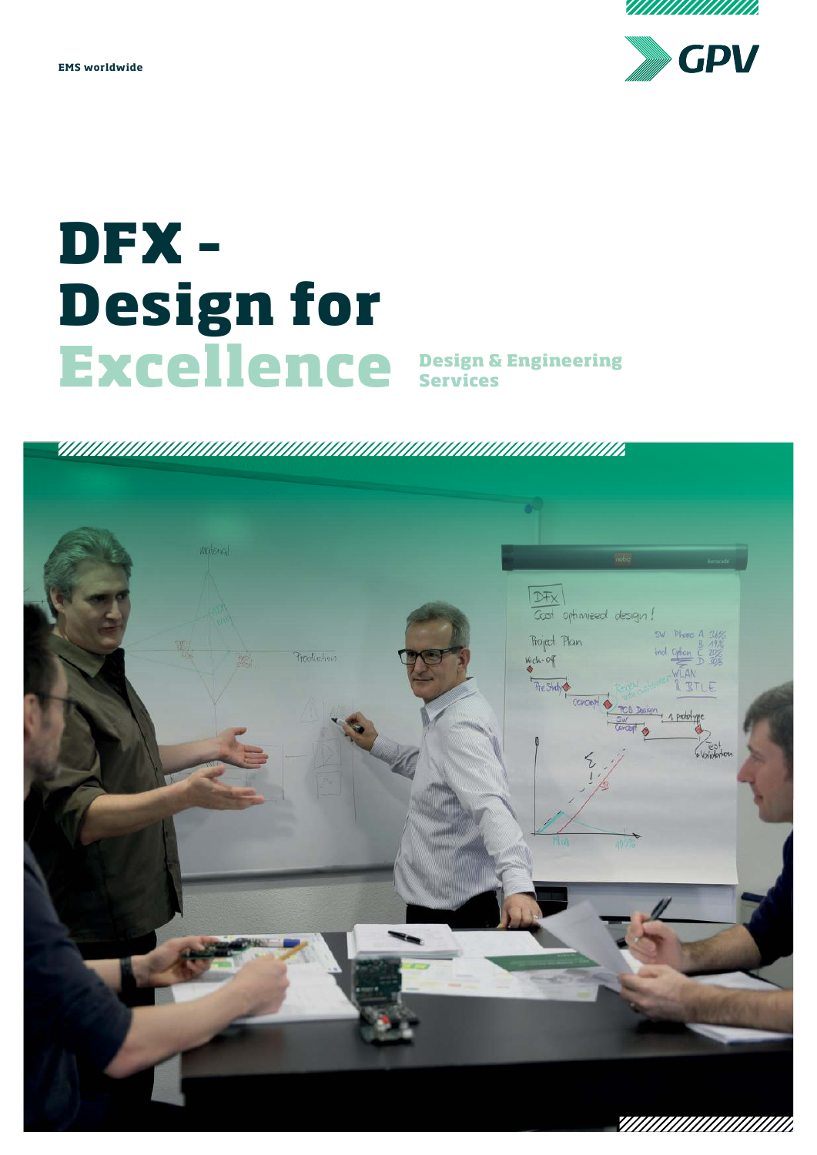MAAAAAAAAAAA

**EMS worldwide**



# **DFX – Design for Excellence**

**Design & Engineering<br>Services** 

### 

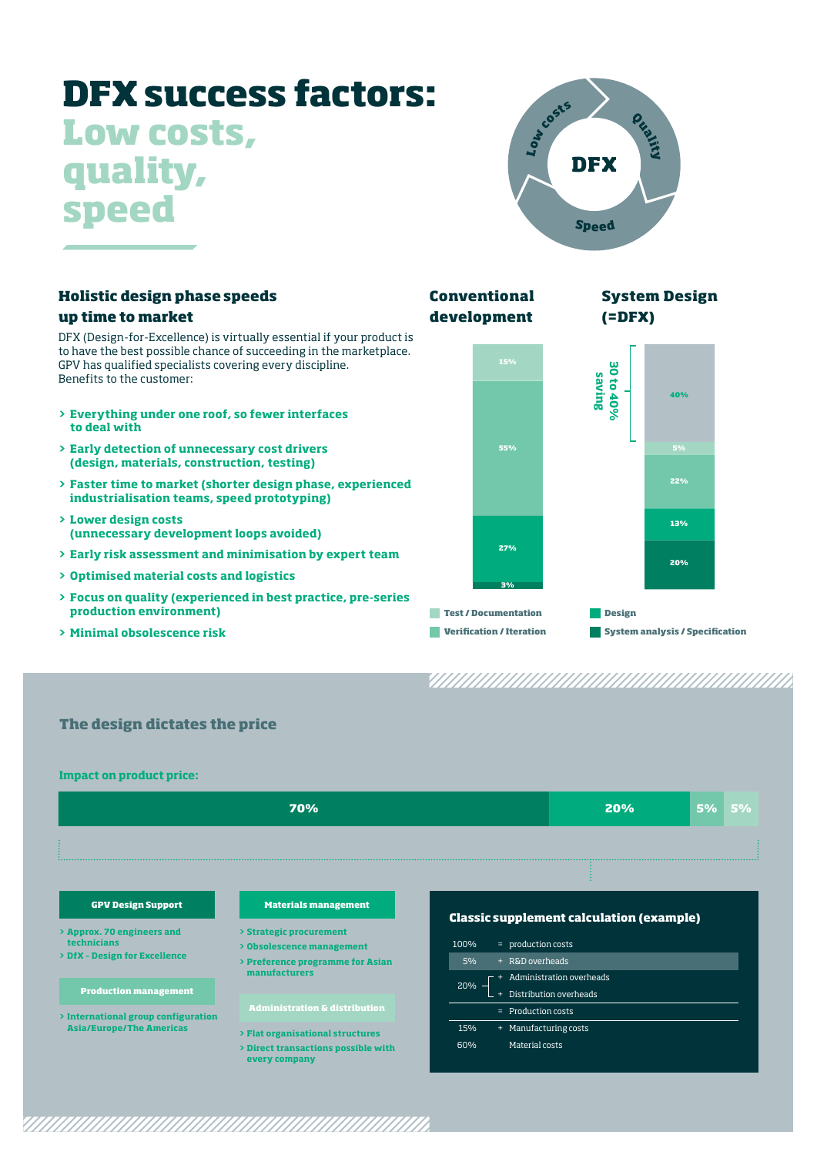## **DFX success factors: Low costs, quality, speed**



| <b>Holistic design phase speeds</b><br>up time to market                                                                                                                                                                             | <b>Conventional</b><br><b>System Design</b><br>development<br>$(=$ DFX)   |                    |
|--------------------------------------------------------------------------------------------------------------------------------------------------------------------------------------------------------------------------------------|---------------------------------------------------------------------------|--------------------|
| DFX (Design-for-Excellence) is virtually essential if your product is<br>to have the best possible chance of succeeding in the marketplace.<br>GPV has qualified specialists covering every discipline.<br>Benefits to the customer: | 15%                                                                       | မ္မ<br>saving<br>ಕ |
| > Everything under one roof, so fewer interfaces<br>to deal with                                                                                                                                                                     |                                                                           | 40%<br>40%         |
| > Early detection of unnecessary cost drivers<br>(design, materials, construction, testing)                                                                                                                                          | 55%                                                                       | 5%                 |
| > Faster time to market (shorter design phase, experienced<br>industrialisation teams, speed prototyping)                                                                                                                            |                                                                           | 22%                |
| > Lower design costs<br>(unnecessary development loops avoided)                                                                                                                                                                      |                                                                           | 13%                |
| > Early risk assessment and minimisation by expert team                                                                                                                                                                              | 27%                                                                       | 20%                |
| > Optimised material costs and logistics                                                                                                                                                                                             | 3%                                                                        |                    |
| > Focus on quality (experienced in best practice, pre-series<br>production environment)                                                                                                                                              | <b>Test / Documentation</b>                                               | <b>Design</b>      |
| > Minimal obsolescence risk                                                                                                                                                                                                          | <b>System analysis / Specification</b><br><b>Verification / Iteration</b> |                    |

**The design dictates the price**

**Impact on product price:**

|                                                                                      | 70%                                                                                      |                                                       | 20%                                                | 5% | 5% |  |
|--------------------------------------------------------------------------------------|------------------------------------------------------------------------------------------|-------------------------------------------------------|----------------------------------------------------|----|----|--|
|                                                                                      |                                                                                          |                                                       |                                                    |    |    |  |
|                                                                                      |                                                                                          |                                                       |                                                    |    |    |  |
| <b>GPV Design Support</b>                                                            | <b>Materials management</b>                                                              | <b>Classic supplement calculation (example)</b>       |                                                    |    |    |  |
| > Approx. 70 engineers and<br>technicians<br>> DfX - Design for Excellence           | > Strategic procurement<br>> Obsolescence management<br>> Preference programme for Asian | = production costs<br>100%<br>+ R&D overheads<br>5%   |                                                    |    |    |  |
| <b>Production management</b>                                                         | manufacturers                                                                            | $20% -$                                               | Administration overheads<br>Distribution overheads |    |    |  |
| > International group configuration                                                  | <b>Administration &amp; distribution</b>                                                 | = Production costs                                    |                                                    |    |    |  |
| <b>Asia/Europe/The Americas</b><br>> Flat organisational structures<br>every company | > Direct transactions possible with                                                      | + Manufacturing costs<br>15%<br>Material costs<br>60% |                                                    |    |    |  |

<u>TAN MANAMAN MANAMAN MANAMAN MANAMAN SEBAGAI MENJADI KE SEBAGAI DI SEBAGAI MENJADI KE SEBAGAI DI SEBAGAI DI SE</u>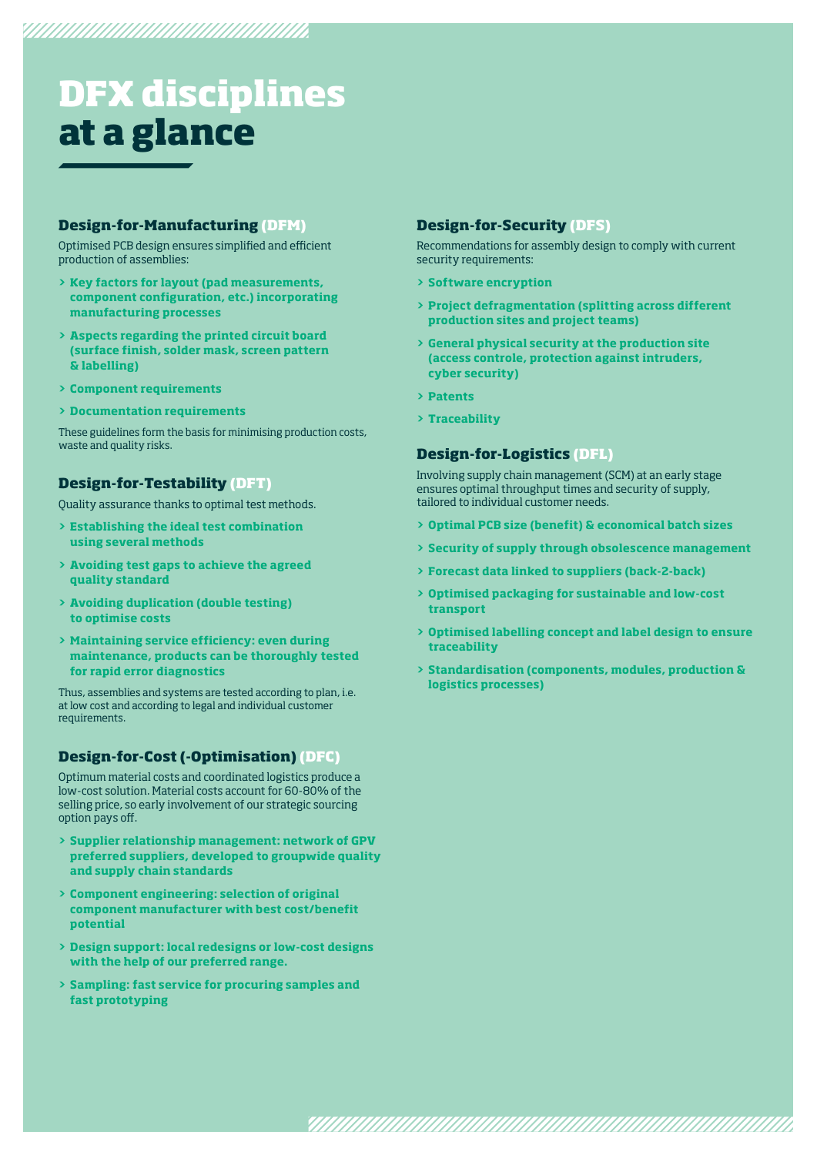### **DFX disciplines at a glance**

### **Design-for-Manufacturing (DFM)**

Optimised PCB design ensures simplified and efficient production of assemblies:

- **> Key factors for layout (pad measurements, component configuration, etc.) incorporating manufacturing processes**
- **> Aspects regarding the printed circuit board (surface finish, solder mask, screen pattern & labelling)**
- **> Component requirements**
- **> Documentation requirements**

These guidelines form the basis for minimising production costs, waste and quality risks.

### **Design-for-Testability (DFT)**

Quality assurance thanks to optimal test methods.

- **> Establishing the ideal test combination using several methods**
- **> Avoiding test gaps to achieve the agreed quality standard**
- **> Avoiding duplication (double testing) to optimise costs**
- **> Maintaining service efficiency: even during maintenance, products can be thoroughly tested for rapid error diagnostics**

Thus, assemblies and systems are tested according to plan, i.e. at low cost and according to legal and individual customer requirements.

### **Design-for-Cost (-Optimisation) (DFC)**

Optimum material costs and coordinated logistics produce a low-cost solution. Material costs account for 60-80% of the selling price, so early involvement of our strategic sourcing option pays off.

- **> Supplier relationship management: network of GPV preferred suppliers, developed to groupwide quality and supply chain standards**
- **> Component engineering: selection of original component manufacturer with best cost/benefit potential**
- **> Design support: local redesigns or low-cost designs with the help of our preferred range.**
- **> Sampling: fast service for procuring samples and fast prototyping**

### **Design-for-Security (DFS)**

Recommendations for assembly design to comply with current security requirements:

- **> Software encryption**
- **> Project defragmentation (splitting across different production sites and project teams)**
- **> General physical security at the production site (access controle, protection against intruders, cyber security)**
- **> Patents**
- **> Traceability**

### **Design-for-Logistics (DFL)**

Involving supply chain management (SCM) at an early stage ensures optimal throughput times and security of supply, tailored to individual customer needs.

- **> Optimal PCB size (benefit) & economical batch sizes**
- **> Security of supply through obsolescence management**
- **> Forecast data linked to suppliers (back-2-back)**

<u> viimuunimuunimuunimuunimuunimuun</u>

- **> Optimised packaging for sustainable and low-cost transport**
- **> Optimised labelling concept and label design to ensure traceability**
- **> Standardisation (components, modules, production & logistics processes)**